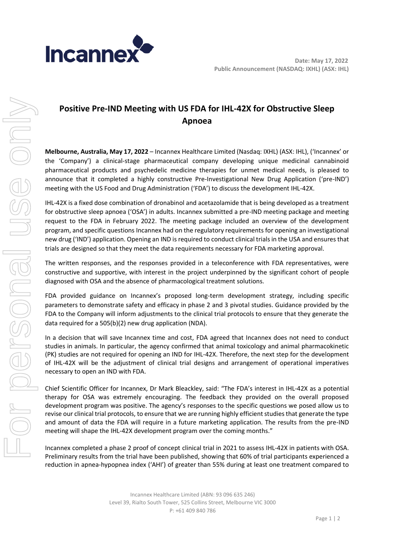

# **Positive Pre-IND Meeting with US FDA for IHL-42X for Obstructive Sleep Apnoea**

**Melbourne, Australia, May 17, 2022** – Incannex Healthcare Limited (Nasdaq: IXHL) (ASX: IHL), ('Incannex' or the 'Company') a clinical-stage pharmaceutical company developing unique medicinal cannabinoid pharmaceutical products and psychedelic medicine therapies for unmet medical needs, is pleased to announce that it completed a highly constructive Pre-Investigational New Drug Application ('pre-IND') meeting with the US Food and Drug Administration ('FDA') to discuss the development IHL-42X.

IHL-42X is a fixed dose combination of dronabinol and acetazolamide that is being developed as a treatment for obstructive sleep apnoea ('OSA') in adults. Incannex submitted a pre-IND meeting package and meeting request to the FDA in February 2022. The meeting package included an overview of the development program, and specific questions Incannex had on the regulatory requirements for opening an investigational new drug ('IND') application. Opening an IND is required to conduct clinical trials in the USA and ensures that trials are designed so that they meet the data requirements necessary for FDA marketing approval.

The written responses, and the responses provided in a teleconference with FDA representatives, were constructive and supportive, with interest in the project underpinned by the significant cohort of people diagnosed with OSA and the absence of pharmacological treatment solutions.

FDA provided guidance on Incannex's proposed long-term development strategy, including specific parameters to demonstrate safety and efficacy in phase 2 and 3 pivotal studies. Guidance provided by the FDA to the Company will inform adjustments to the clinical trial protocols to ensure that they generate the data required for a 505(b)(2) new drug application (NDA).

In a decision that will save Incannex time and cost, FDA agreed that Incannex does not need to conduct studies in animals. In particular, the agency confirmed that animal toxicology and animal pharmacokinetic (PK) studies are not required for opening an IND for IHL-42X. Therefore, the next step for the development of IHL-42X will be the adjustment of clinical trial designs and arrangement of operational imperatives necessary to open an IND with FDA.

Chief Scientific Officer for Incannex, Dr Mark Bleackley, said: "The FDA's interest in IHL-42X as a potential therapy for OSA was extremely encouraging. The feedback they provided on the overall proposed development program was positive. The agency's responses to the specific questions we posed allow us to revise our clinical trial protocols, to ensure that we are running highly efficient studies that generate the type and amount of data the FDA will require in a future marketing application. The results from the pre-IND meeting will shape the IHL-42X development program over the coming months."

Incannex completed a phase 2 proof of concept clinical trial in 2021 to assess IHL-42X in patients with OSA. Preliminary results from the trial have been published, showing that 60% of trial participants experienced a reduction in apnea-hypopnea index ('AHI') of greater than 55% during at least one treatment compared to